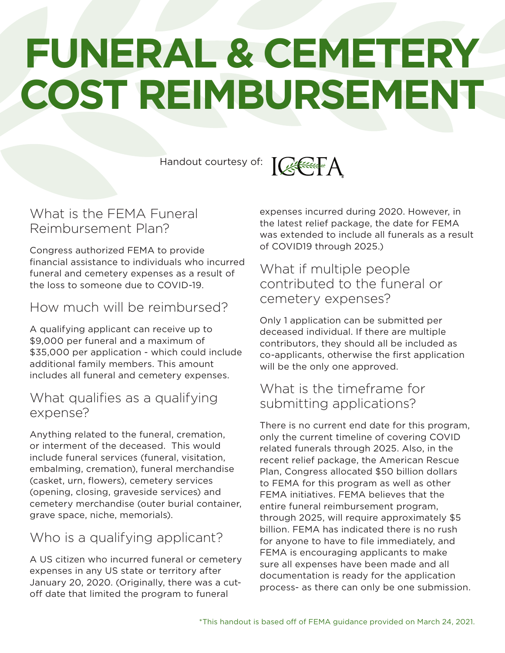# **FUNERAL & CEMETERY COST REIMBURSEMENT**

Handout courtesy of:



## What is the FEMA Funeral Reimbursement Plan?

Congress authorized FEMA to provide financial assistance to individuals who incurred funeral and cemetery expenses as a result of the loss to someone due to COVID-19.

## How much will be reimbursed?

A qualifying applicant can receive up to \$9,000 per funeral and a maximum of \$35,000 per application - which could include additional family members. This amount includes all funeral and cemetery expenses.

#### What qualifies as a qualifying expense?

Anything related to the funeral, cremation, or interment of the deceased. This would include funeral services (funeral, visitation, embalming, cremation), funeral merchandise (casket, urn, flowers), cemetery services (opening, closing, graveside services) and cemetery merchandise (outer burial container, grave space, niche, memorials).

# Who is a qualifying applicant?

A US citizen who incurred funeral or cemetery expenses in any US state or territory after January 20, 2020. (Originally, there was a cutoff date that limited the program to funeral

expenses incurred during 2020. However, in the latest relief package, the date for FEMA was extended to include all funerals as a result of COVID19 through 2025.)

#### What if multiple people contributed to the funeral or cemetery expenses?

Only 1 application can be submitted per deceased individual. If there are multiple contributors, they should all be included as co-applicants, otherwise the first application will be the only one approved.

## What is the timeframe for submitting applications?

There is no current end date for this program, only the current timeline of covering COVID related funerals through 2025. Also, in the recent relief package, the American Rescue Plan, Congress allocated \$50 billion dollars to FEMA for this program as well as other FEMA initiatives. FEMA believes that the entire funeral reimbursement program, through 2025, will require approximately \$5 billion. FEMA has indicated there is no rush for anyone to have to file immediately, and FEMA is encouraging applicants to make sure all expenses have been made and all documentation is ready for the application process- as there can only be one submission.